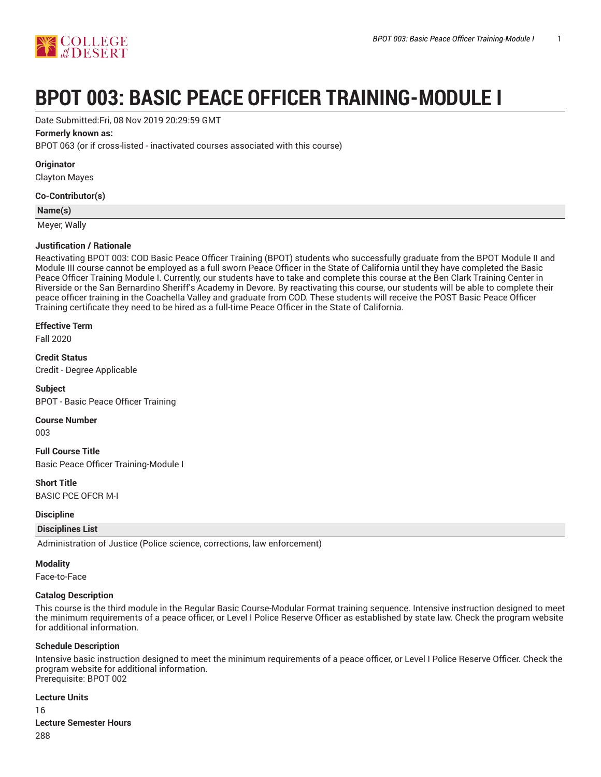

# **BPOT 003: BASIC PEACE OFFICER TRAINING-MODULE I**

Date Submitted:Fri, 08 Nov 2019 20:29:59 GMT

# **Formerly known as:**

BPOT 063 (or if cross-listed - inactivated courses associated with this course)

**Originator**

Clayton Mayes

#### **Co-Contributor(s)**

**Name(s)**

Meyer, Wally

# **Justification / Rationale**

Reactivating BPOT 003: COD Basic Peace Officer Training (BPOT) students who successfully graduate from the BPOT Module II and Module III course cannot be employed as a full sworn Peace Officer in the State of California until they have completed the Basic Peace Officer Training Module I. Currently, our students have to take and complete this course at the Ben Clark Training Center in Riverside or the San Bernardino Sheriff's Academy in Devore. By reactivating this course, our students will be able to complete their peace officer training in the Coachella Valley and graduate from COD. These students will receive the POST Basic Peace Officer Training certificate they need to be hired as a full-time Peace Officer in the State of California.

#### **Effective Term**

Fall 2020

**Credit Status** Credit - Degree Applicable

**Subject** BPOT - Basic Peace Officer Training

# **Course Number**

003

**Full Course Title** Basic Peace Officer Training-Module I

**Short Title** BASIC PCE OFCR M-I

**Discipline**

# **Disciplines List**

Administration of Justice (Police science, corrections, law enforcement)

# **Modality**

Face-to-Face

# **Catalog Description**

This course is the third module in the Regular Basic Course-Modular Format training sequence. Intensive instruction designed to meet the minimum requirements of a peace officer, or Level I Police Reserve Officer as established by state law. Check the program website for additional information.

# **Schedule Description**

Intensive basic instruction designed to meet the minimum requirements of a peace officer, or Level I Police Reserve Officer. Check the program website for additional information. Prerequisite: BPOT 002

# **Lecture Units**

16

**Lecture Semester Hours** 288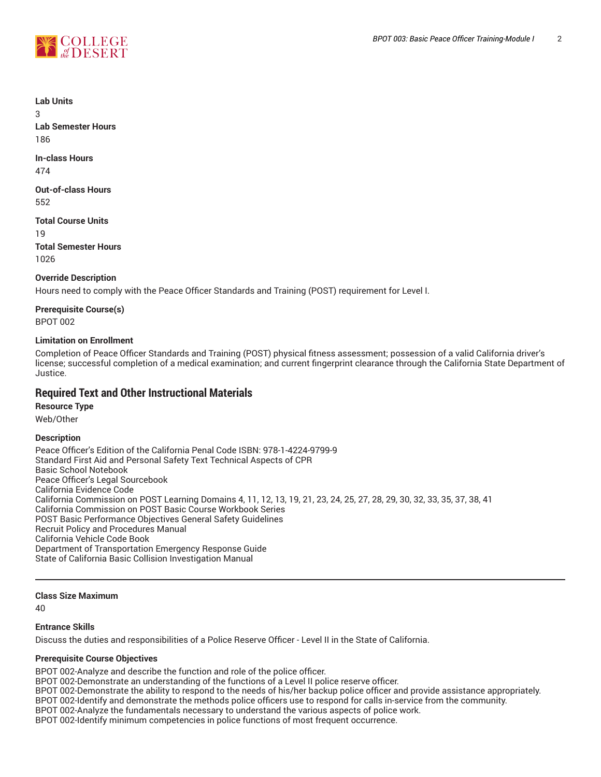



**Lab Units**

3

**Lab Semester Hours** 186

**In-class Hours**

474

**Out-of-class Hours** 552

**Total Course Units** 19

**Total Semester Hours** 1026

**Override Description**

Hours need to comply with the Peace Officer Standards and Training (POST) requirement for Level I.

**Prerequisite Course(s)**

BPOT 002

# **Limitation on Enrollment**

Completion of Peace Officer Standards and Training (POST) physical fitness assessment; possession of a valid California driver's license; successful completion of a medical examination; and current fingerprint clearance through the California State Department of Justice.

# **Required Text and Other Instructional Materials**

# **Resource Type**

Web/Other

# **Description**

Peace Officer's Edition of the California Penal Code ISBN: 978-1-4224-9799-9 Standard First Aid and Personal Safety Text Technical Aspects of CPR Basic School Notebook Peace Officer's Legal Sourcebook California Evidence Code California Commission on POST Learning Domains 4, 11, 12, 13, 19, 21, 23, 24, 25, 27, 28, 29, 30, 32, 33, 35, 37, 38, 41 California Commission on POST Basic Course Workbook Series POST Basic Performance Objectives General Safety Guidelines Recruit Policy and Procedures Manual California Vehicle Code Book Department of Transportation Emergency Response Guide State of California Basic Collision Investigation Manual

# **Class Size Maximum**

 $40$ 

# **Entrance Skills**

Discuss the duties and responsibilities of a Police Reserve Officer - Level II in the State of California.

# **Prerequisite Course Objectives**

BPOT 002-Analyze and describe the function and role of the police officer.

BPOT 002-Demonstrate an understanding of the functions of a Level II police reserve officer.

BPOT 002-Demonstrate the ability to respond to the needs of his/her backup police officer and provide assistance appropriately.

BPOT 002-Identify and demonstrate the methods police officers use to respond for calls in-service from the community.

BPOT 002-Analyze the fundamentals necessary to understand the various aspects of police work.

BPOT 002-Identify minimum competencies in police functions of most frequent occurrence.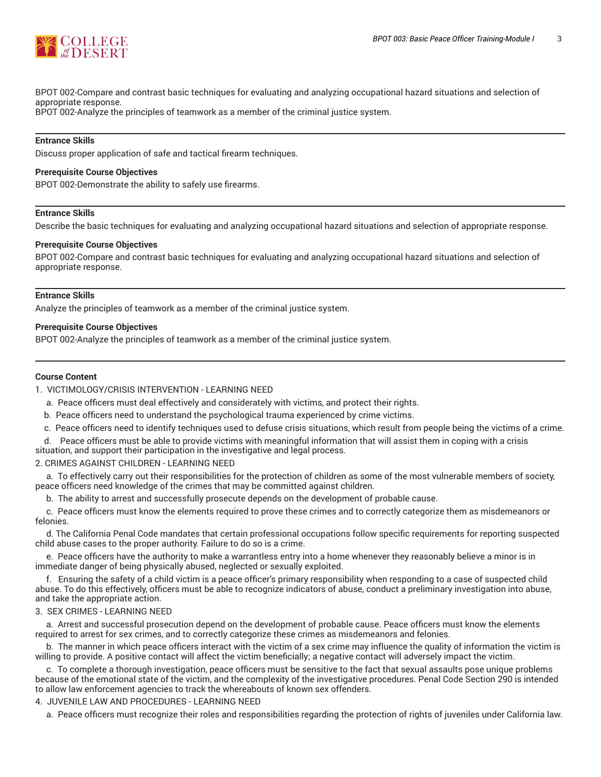

BPOT 002-Compare and contrast basic techniques for evaluating and analyzing occupational hazard situations and selection of appropriate response.

BPOT 002-Analyze the principles of teamwork as a member of the criminal justice system.

#### **Entrance Skills**

Discuss proper application of safe and tactical firearm techniques.

#### **Prerequisite Course Objectives**

BPOT 002-Demonstrate the ability to safely use firearms.

#### **Entrance Skills**

Describe the basic techniques for evaluating and analyzing occupational hazard situations and selection of appropriate response.

#### **Prerequisite Course Objectives**

BPOT 002-Compare and contrast basic techniques for evaluating and analyzing occupational hazard situations and selection of appropriate response.

# **Entrance Skills**

Analyze the principles of teamwork as a member of the criminal justice system.

#### **Prerequisite Course Objectives**

BPOT 002-Analyze the principles of teamwork as a member of the criminal justice system.

#### **Course Content**

1. VICTIMOLOGY/CRISIS INTERVENTION - LEARNING NEED

- a. Peace officers must deal effectively and considerately with victims, and protect their rights.
- b. Peace officers need to understand the psychological trauma experienced by crime victims.
- c. Peace officers need to identify techniques used to defuse crisis situations, which result from people being the victims of a crime.
- d. Peace officers must be able to provide victims with meaningful information that will assist them in coping with a crisis
- situation, and support their participation in the investigative and legal process.

2. CRIMES AGAINST CHILDREN - LEARNING NEED

a. To effectively carry out their responsibilities for the protection of children as some of the most vulnerable members of society, peace officers need knowledge of the crimes that may be committed against children.

b. The ability to arrest and successfully prosecute depends on the development of probable cause.

c. Peace officers must know the elements required to prove these crimes and to correctly categorize them as misdemeanors or felonies.

d. The California Penal Code mandates that certain professional occupations follow specific requirements for reporting suspected child abuse cases to the proper authority. Failure to do so is a crime.

e. Peace officers have the authority to make a warrantless entry into a home whenever they reasonably believe a minor is in immediate danger of being physically abused, neglected or sexually exploited.

f. Ensuring the safety of a child victim is a peace officer's primary responsibility when responding to a case of suspected child abuse. To do this effectively, officers must be able to recognize indicators of abuse, conduct a preliminary investigation into abuse, and take the appropriate action.

#### 3. SEX CRIMES - LEARNING NEED

a. Arrest and successful prosecution depend on the development of probable cause. Peace officers must know the elements required to arrest for sex crimes, and to correctly categorize these crimes as misdemeanors and felonies.

b. The manner in which peace officers interact with the victim of a sex crime may influence the quality of information the victim is willing to provide. A positive contact will affect the victim beneficially; a negative contact will adversely impact the victim.

c. To complete a thorough investigation, peace officers must be sensitive to the fact that sexual assaults pose unique problems because of the emotional state of the victim, and the complexity of the investigative procedures. Penal Code Section 290 is intended to allow law enforcement agencies to track the whereabouts of known sex offenders.

4. JUVENILE LAW AND PROCEDURES - LEARNING NEED

a. Peace officers must recognize their roles and responsibilities regarding the protection of rights of juveniles under California law.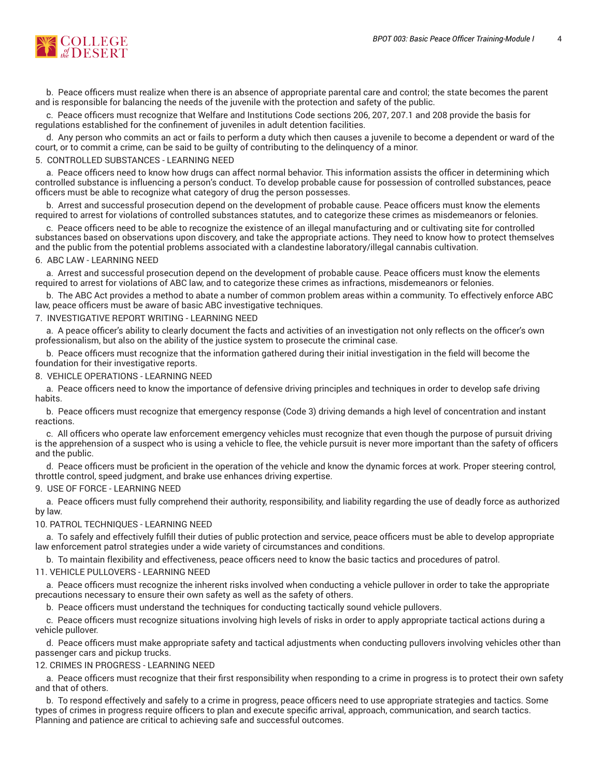

b. Peace officers must realize when there is an absence of appropriate parental care and control; the state becomes the parent and is responsible for balancing the needs of the juvenile with the protection and safety of the public.

c. Peace officers must recognize that Welfare and Institutions Code sections 206, 207, 207.1 and 208 provide the basis for regulations established for the confinement of juveniles in adult detention facilities.

d. Any person who commits an act or fails to perform a duty which then causes a juvenile to become a dependent or ward of the court, or to commit a crime, can be said to be guilty of contributing to the delinquency of a minor.

#### 5. CONTROLLED SUBSTANCES - LEARNING NEED

a. Peace officers need to know how drugs can affect normal behavior. This information assists the officer in determining which controlled substance is influencing a person's conduct. To develop probable cause for possession of controlled substances, peace officers must be able to recognize what category of drug the person possesses.

b. Arrest and successful prosecution depend on the development of probable cause. Peace officers must know the elements required to arrest for violations of controlled substances statutes, and to categorize these crimes as misdemeanors or felonies.

c. Peace officers need to be able to recognize the existence of an illegal manufacturing and or cultivating site for controlled substances based on observations upon discovery, and take the appropriate actions. They need to know how to protect themselves and the public from the potential problems associated with a clandestine laboratory/illegal cannabis cultivation.

# 6. ABC LAW - LEARNING NEED

a. Arrest and successful prosecution depend on the development of probable cause. Peace officers must know the elements required to arrest for violations of ABC law, and to categorize these crimes as infractions, misdemeanors or felonies.

b. The ABC Act provides a method to abate a number of common problem areas within a community. To effectively enforce ABC law, peace officers must be aware of basic ABC investigative techniques.

#### 7. INVESTIGATIVE REPORT WRITING - LEARNING NEED

a. A peace officer's ability to clearly document the facts and activities of an investigation not only reflects on the officer's own professionalism, but also on the ability of the justice system to prosecute the criminal case.

b. Peace officers must recognize that the information gathered during their initial investigation in the field will become the foundation for their investigative reports.

8. VEHICLE OPERATIONS - LEARNING NEED

a. Peace officers need to know the importance of defensive driving principles and techniques in order to develop safe driving habits.

b. Peace officers must recognize that emergency response (Code 3) driving demands a high level of concentration and instant reactions.

c. All officers who operate law enforcement emergency vehicles must recognize that even though the purpose of pursuit driving is the apprehension of a suspect who is using a vehicle to flee, the vehicle pursuit is never more important than the safety of officers and the public.

d. Peace officers must be proficient in the operation of the vehicle and know the dynamic forces at work. Proper steering control, throttle control, speed judgment, and brake use enhances driving expertise.

#### 9. USE OF FORCE - LEARNING NEED

a. Peace officers must fully comprehend their authority, responsibility, and liability regarding the use of deadly force as authorized by law.

#### 10. PATROL TECHNIQUES - LEARNING NEED

a. To safely and effectively fulfill their duties of public protection and service, peace officers must be able to develop appropriate law enforcement patrol strategies under a wide variety of circumstances and conditions.

b. To maintain flexibility and effectiveness, peace officers need to know the basic tactics and procedures of patrol.

# 11. VEHICLE PULLOVERS - LEARNING NEED

a. Peace officers must recognize the inherent risks involved when conducting a vehicle pullover in order to take the appropriate precautions necessary to ensure their own safety as well as the safety of others.

b. Peace officers must understand the techniques for conducting tactically sound vehicle pullovers.

c. Peace officers must recognize situations involving high levels of risks in order to apply appropriate tactical actions during a vehicle pullover.

d. Peace officers must make appropriate safety and tactical adjustments when conducting pullovers involving vehicles other than passenger cars and pickup trucks.

#### 12. CRIMES IN PROGRESS - LEARNING NEED

a. Peace officers must recognize that their first responsibility when responding to a crime in progress is to protect their own safety and that of others.

b. To respond effectively and safely to a crime in progress, peace officers need to use appropriate strategies and tactics. Some types of crimes in progress require officers to plan and execute specific arrival, approach, communication, and search tactics. Planning and patience are critical to achieving safe and successful outcomes.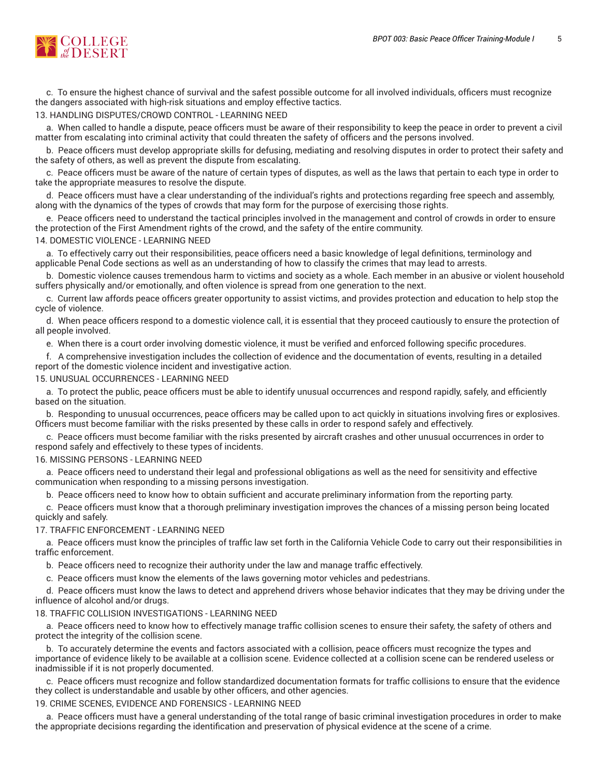

c. To ensure the highest chance of survival and the safest possible outcome for all involved individuals, officers must recognize the dangers associated with high-risk situations and employ effective tactics.

#### 13. HANDLING DISPUTES/CROWD CONTROL - LEARNING NEED

a. When called to handle a dispute, peace officers must be aware of their responsibility to keep the peace in order to prevent a civil matter from escalating into criminal activity that could threaten the safety of officers and the persons involved.

b. Peace officers must develop appropriate skills for defusing, mediating and resolving disputes in order to protect their safety and the safety of others, as well as prevent the dispute from escalating.

c. Peace officers must be aware of the nature of certain types of disputes, as well as the laws that pertain to each type in order to take the appropriate measures to resolve the dispute.

d. Peace officers must have a clear understanding of the individual's rights and protections regarding free speech and assembly, along with the dynamics of the types of crowds that may form for the purpose of exercising those rights.

e. Peace officers need to understand the tactical principles involved in the management and control of crowds in order to ensure the protection of the First Amendment rights of the crowd, and the safety of the entire community.

#### 14. DOMESTIC VIOLENCE - LEARNING NEED

a. To effectively carry out their responsibilities, peace officers need a basic knowledge of legal definitions, terminology and applicable Penal Code sections as well as an understanding of how to classify the crimes that may lead to arrests.

b. Domestic violence causes tremendous harm to victims and society as a whole. Each member in an abusive or violent household suffers physically and/or emotionally, and often violence is spread from one generation to the next.

c. Current law affords peace officers greater opportunity to assist victims, and provides protection and education to help stop the cycle of violence.

d. When peace officers respond to a domestic violence call, it is essential that they proceed cautiously to ensure the protection of all people involved.

e. When there is a court order involving domestic violence, it must be verified and enforced following specific procedures.

f. A comprehensive investigation includes the collection of evidence and the documentation of events, resulting in a detailed report of the domestic violence incident and investigative action.

#### 15. UNUSUAL OCCURRENCES - LEARNING NEED

a. To protect the public, peace officers must be able to identify unusual occurrences and respond rapidly, safely, and efficiently based on the situation.

b. Responding to unusual occurrences, peace officers may be called upon to act quickly in situations involving fires or explosives. Officers must become familiar with the risks presented by these calls in order to respond safely and effectively.

c. Peace officers must become familiar with the risks presented by aircraft crashes and other unusual occurrences in order to respond safely and effectively to these types of incidents.

#### 16. MISSING PERSONS - LEARNING NEED

a. Peace officers need to understand their legal and professional obligations as well as the need for sensitivity and effective communication when responding to a missing persons investigation.

b. Peace officers need to know how to obtain sufficient and accurate preliminary information from the reporting party.

c. Peace officers must know that a thorough preliminary investigation improves the chances of a missing person being located quickly and safely.

#### 17. TRAFFIC ENFORCEMENT - LEARNING NEED

a. Peace officers must know the principles of traffic law set forth in the California Vehicle Code to carry out their responsibilities in traffic enforcement.

b. Peace officers need to recognize their authority under the law and manage traffic effectively.

c. Peace officers must know the elements of the laws governing motor vehicles and pedestrians.

d. Peace officers must know the laws to detect and apprehend drivers whose behavior indicates that they may be driving under the influence of alcohol and/or drugs.

#### 18. TRAFFIC COLLISION INVESTIGATIONS - LEARNING NEED

a. Peace officers need to know how to effectively manage traffic collision scenes to ensure their safety, the safety of others and protect the integrity of the collision scene.

b. To accurately determine the events and factors associated with a collision, peace officers must recognize the types and importance of evidence likely to be available at a collision scene. Evidence collected at a collision scene can be rendered useless or inadmissible if it is not properly documented.

c. Peace officers must recognize and follow standardized documentation formats for traffic collisions to ensure that the evidence they collect is understandable and usable by other officers, and other agencies.

#### 19. CRIME SCENES, EVIDENCE AND FORENSICS - LEARNING NEED

a. Peace officers must have a general understanding of the total range of basic criminal investigation procedures in order to make the appropriate decisions regarding the identification and preservation of physical evidence at the scene of a crime.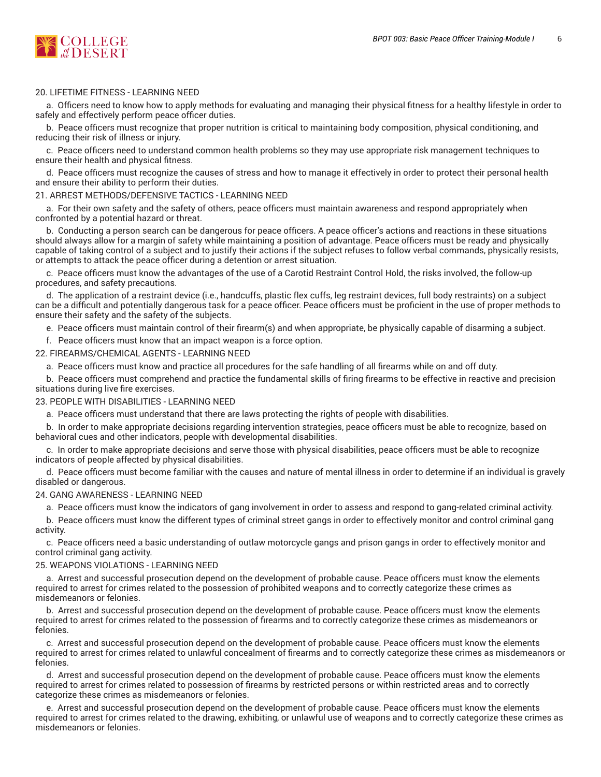

# 20. LIFETIME FITNESS - LEARNING NEED

a. Officers need to know how to apply methods for evaluating and managing their physical fitness for a healthy lifestyle in order to safely and effectively perform peace officer duties.

b. Peace officers must recognize that proper nutrition is critical to maintaining body composition, physical conditioning, and reducing their risk of illness or injury.

c. Peace officers need to understand common health problems so they may use appropriate risk management techniques to ensure their health and physical fitness.

d. Peace officers must recognize the causes of stress and how to manage it effectively in order to protect their personal health and ensure their ability to perform their duties.

#### 21. ARREST METHODS/DEFENSIVE TACTICS - LEARNING NEED

a. For their own safety and the safety of others, peace officers must maintain awareness and respond appropriately when confronted by a potential hazard or threat.

b. Conducting a person search can be dangerous for peace officers. A peace officer's actions and reactions in these situations should always allow for a margin of safety while maintaining a position of advantage. Peace officers must be ready and physically capable of taking control of a subject and to justify their actions if the subject refuses to follow verbal commands, physically resists, or attempts to attack the peace officer during a detention or arrest situation.

c. Peace officers must know the advantages of the use of a Carotid Restraint Control Hold, the risks involved, the follow-up procedures, and safety precautions.

d. The application of a restraint device (i.e., handcuffs, plastic flex cuffs, leg restraint devices, full body restraints) on a subject can be a difficult and potentially dangerous task for a peace officer. Peace officers must be proficient in the use of proper methods to ensure their safety and the safety of the subjects.

e. Peace officers must maintain control of their firearm(s) and when appropriate, be physically capable of disarming a subject.

f. Peace officers must know that an impact weapon is a force option.

#### 22. FIREARMS/CHEMICAL AGENTS - LEARNING NEED

a. Peace officers must know and practice all procedures for the safe handling of all firearms while on and off duty.

b. Peace officers must comprehend and practice the fundamental skills of firing firearms to be effective in reactive and precision situations during live fire exercises.

23. PEOPLE WITH DISABILITIES - LEARNING NEED

a. Peace officers must understand that there are laws protecting the rights of people with disabilities.

b. In order to make appropriate decisions regarding intervention strategies, peace officers must be able to recognize, based on behavioral cues and other indicators, people with developmental disabilities.

c. In order to make appropriate decisions and serve those with physical disabilities, peace officers must be able to recognize indicators of people affected by physical disabilities.

d. Peace officers must become familiar with the causes and nature of mental illness in order to determine if an individual is gravely disabled or dangerous.

#### 24. GANG AWARENESS - LEARNING NEED

a. Peace officers must know the indicators of gang involvement in order to assess and respond to gang-related criminal activity.

b. Peace officers must know the different types of criminal street gangs in order to effectively monitor and control criminal gang activity.

c. Peace officers need a basic understanding of outlaw motorcycle gangs and prison gangs in order to effectively monitor and control criminal gang activity.

#### 25. WEAPONS VIOLATIONS - LEARNING NEED

a. Arrest and successful prosecution depend on the development of probable cause. Peace officers must know the elements required to arrest for crimes related to the possession of prohibited weapons and to correctly categorize these crimes as misdemeanors or felonies.

b. Arrest and successful prosecution depend on the development of probable cause. Peace officers must know the elements required to arrest for crimes related to the possession of firearms and to correctly categorize these crimes as misdemeanors or felonies.

c. Arrest and successful prosecution depend on the development of probable cause. Peace officers must know the elements required to arrest for crimes related to unlawful concealment of firearms and to correctly categorize these crimes as misdemeanors or felonies.

d. Arrest and successful prosecution depend on the development of probable cause. Peace officers must know the elements required to arrest for crimes related to possession of firearms by restricted persons or within restricted areas and to correctly categorize these crimes as misdemeanors or felonies.

e. Arrest and successful prosecution depend on the development of probable cause. Peace officers must know the elements required to arrest for crimes related to the drawing, exhibiting, or unlawful use of weapons and to correctly categorize these crimes as misdemeanors or felonies.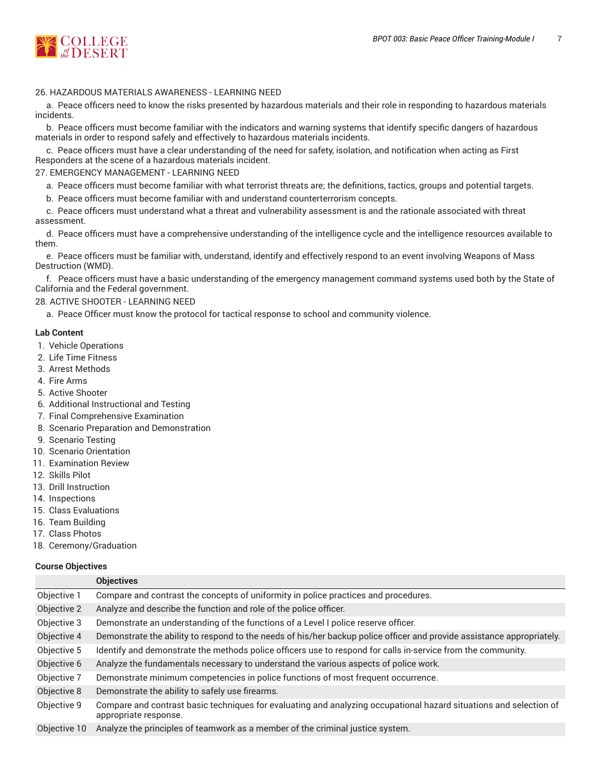

# 26. HAZARDOUS MATERIALS AWARENESS - LEARNING NEED

a. Peace officers need to know the risks presented by hazardous materials and their role in responding to hazardous materials incidents.

b. Peace officers must become familiar with the indicators and warning systems that identify specific dangers of hazardous materials in order to respond safely and effectively to hazardous materials incidents.

c. Peace officers must have a clear understanding of the need for safety, isolation, and notification when acting as First Responders at the scene of a hazardous materials incident.

27. EMERGENCY MANAGEMENT - LEARNING NEED

a. Peace officers must become familiar with what terrorist threats are; the definitions, tactics, groups and potential targets.

b. Peace officers must become familiar with and understand counterterrorism concepts.

c. Peace officers must understand what a threat and vulnerability assessment is and the rationale associated with threat assessment.

d. Peace officers must have a comprehensive understanding of the intelligence cycle and the intelligence resources available to them.

e. Peace officers must be familiar with, understand, identify and effectively respond to an event involving Weapons of Mass Destruction (WMD).

f. Peace officers must have a basic understanding of the emergency management command systems used both by the State of California and the Federal government.

# 28. ACTIVE SHOOTER - LEARNING NEED

a. Peace Officer must know the protocol for tactical response to school and community violence.

# **Lab Content**

- 1. Vehicle Operations
- 2. Life Time Fitness
- 3. Arrest Methods
- 4. Fire Arms
- 5. Active Shooter
- 6. Additional Instructional and Testing
- 7. Final Comprehensive Examination
- 8. Scenario Preparation and Demonstration
- 9. Scenario Testing
- 10. Scenario Orientation
- 11. Examination Review
- 12. Skills Pilot
- 13. Drill Instruction
- 14. Inspections
- 15. Class Evaluations
- 16. Team Building
- 17. Class Photos
- 18. Ceremony/Graduation

# **Course Objectives**

|              | <b>Objectives</b>                                                                                                                           |
|--------------|---------------------------------------------------------------------------------------------------------------------------------------------|
| Objective 1  | Compare and contrast the concepts of uniformity in police practices and procedures.                                                         |
| Objective 2  | Analyze and describe the function and role of the police officer.                                                                           |
| Objective 3  | Demonstrate an understanding of the functions of a Level I police reserve officer.                                                          |
| Objective 4  | Demonstrate the ability to respond to the needs of his/her backup police officer and provide assistance appropriately.                      |
| Objective 5  | Identify and demonstrate the methods police officers use to respond for calls in-service from the community.                                |
| Objective 6  | Analyze the fundamentals necessary to understand the various aspects of police work.                                                        |
| Objective 7  | Demonstrate minimum competencies in police functions of most frequent occurrence.                                                           |
| Objective 8  | Demonstrate the ability to safely use firearms.                                                                                             |
| Objective 9  | Compare and contrast basic techniques for evaluating and analyzing occupational hazard situations and selection of<br>appropriate response. |
| Objective 10 | Analyze the principles of teamwork as a member of the criminal justice system                                                               |

Objective 10 Analyze the principles of teamwork as a member of the criminal justice system.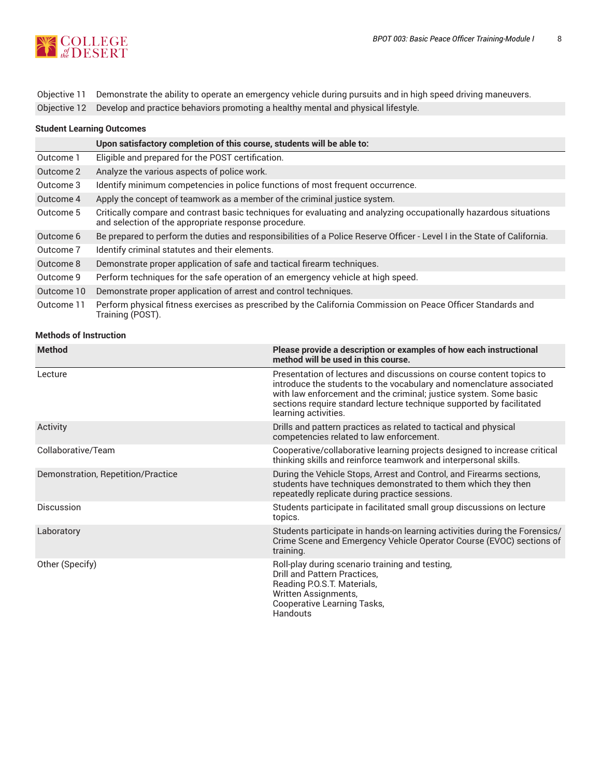

Objective 11 Demonstrate the ability to operate an emergency vehicle during pursuits and in high speed driving maneuvers.

Objective 12 Develop and practice behaviors promoting a healthy mental and physical lifestyle.

| <b>Student Learning Outcomes</b> |  |
|----------------------------------|--|
|----------------------------------|--|

|            | Upon satisfactory completion of this course, students will be able to:                                                                                                    |
|------------|---------------------------------------------------------------------------------------------------------------------------------------------------------------------------|
| Outcome 1  | Eligible and prepared for the POST certification.                                                                                                                         |
| Outcome 2  | Analyze the various aspects of police work.                                                                                                                               |
| Outcome 3  | Identify minimum competencies in police functions of most frequent occurrence.                                                                                            |
| Outcome 4  | Apply the concept of teamwork as a member of the criminal justice system.                                                                                                 |
| Outcome 5  | Critically compare and contrast basic techniques for evaluating and analyzing occupationally hazardous situations<br>and selection of the appropriate response procedure. |
| Outcome 6  | Be prepared to perform the duties and responsibilities of a Police Reserve Officer - Level I in the State of California.                                                  |
| Outcome 7  | Identify criminal statutes and their elements.                                                                                                                            |
| Outcome 8  | Demonstrate proper application of safe and tactical firearm techniques.                                                                                                   |
| Outcome 9  | Perform techniques for the safe operation of an emergency vehicle at high speed.                                                                                          |
| Outcome 10 | Demonstrate proper application of arrest and control techniques.                                                                                                          |
| Outcome 11 | Perform physical fitness exercises as prescribed by the California Commission on Peace Officer Standards and<br>Training (POST).                                          |

**Methods of Instruction**

| <b>Method</b>                      | Please provide a description or examples of how each instructional<br>method will be used in this course.                                                                                                                                                                                                         |
|------------------------------------|-------------------------------------------------------------------------------------------------------------------------------------------------------------------------------------------------------------------------------------------------------------------------------------------------------------------|
| Lecture                            | Presentation of lectures and discussions on course content topics to<br>introduce the students to the vocabulary and nomenclature associated<br>with law enforcement and the criminal; justice system. Some basic<br>sections require standard lecture technique supported by facilitated<br>learning activities. |
| Activity                           | Drills and pattern practices as related to tactical and physical<br>competencies related to law enforcement.                                                                                                                                                                                                      |
| Collaborative/Team                 | Cooperative/collaborative learning projects designed to increase critical<br>thinking skills and reinforce teamwork and interpersonal skills.                                                                                                                                                                     |
| Demonstration, Repetition/Practice | During the Vehicle Stops, Arrest and Control, and Firearms sections,<br>students have techniques demonstrated to them which they then<br>repeatedly replicate during practice sessions.                                                                                                                           |
| Discussion                         | Students participate in facilitated small group discussions on lecture<br>topics.                                                                                                                                                                                                                                 |
| Laboratory                         | Students participate in hands-on learning activities during the Forensics/<br>Crime Scene and Emergency Vehicle Operator Course (EVOC) sections of<br>training.                                                                                                                                                   |
| Other (Specify)                    | Roll-play during scenario training and testing,<br>Drill and Pattern Practices,<br>Reading P.O.S.T. Materials,<br>Written Assignments,<br>Cooperative Learning Tasks,<br><b>Handouts</b>                                                                                                                          |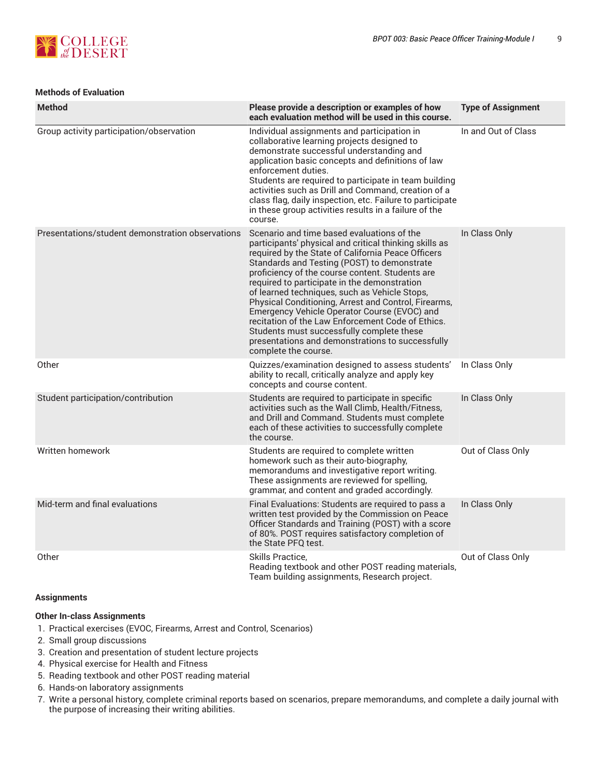

# **Methods of Evaluation**

| <b>Method</b>                                    | Please provide a description or examples of how<br>each evaluation method will be used in this course.                                                                                                                                                                                                                                                                                                                                                                                                                                                                                                                                              | <b>Type of Assignment</b> |
|--------------------------------------------------|-----------------------------------------------------------------------------------------------------------------------------------------------------------------------------------------------------------------------------------------------------------------------------------------------------------------------------------------------------------------------------------------------------------------------------------------------------------------------------------------------------------------------------------------------------------------------------------------------------------------------------------------------------|---------------------------|
| Group activity participation/observation         | Individual assignments and participation in<br>collaborative learning projects designed to<br>demonstrate successful understanding and<br>application basic concepts and definitions of law<br>enforcement duties.<br>Students are required to participate in team building<br>activities such as Drill and Command, creation of a<br>class flag, daily inspection, etc. Failure to participate<br>in these group activities results in a failure of the<br>course.                                                                                                                                                                                 | In and Out of Class       |
| Presentations/student demonstration observations | Scenario and time based evaluations of the<br>participants' physical and critical thinking skills as<br>required by the State of California Peace Officers<br>Standards and Testing (POST) to demonstrate<br>proficiency of the course content. Students are<br>required to participate in the demonstration<br>of learned techniques, such as Vehicle Stops,<br>Physical Conditioning, Arrest and Control, Firearms,<br>Emergency Vehicle Operator Course (EVOC) and<br>recitation of the Law Enforcement Code of Ethics.<br>Students must successfully complete these<br>presentations and demonstrations to successfully<br>complete the course. | In Class Only             |
| Other                                            | Quizzes/examination designed to assess students'<br>ability to recall, critically analyze and apply key<br>concepts and course content.                                                                                                                                                                                                                                                                                                                                                                                                                                                                                                             | In Class Only             |
| Student participation/contribution               | Students are required to participate in specific<br>activities such as the Wall Climb, Health/Fitness,<br>and Drill and Command. Students must complete<br>each of these activities to successfully complete<br>the course.                                                                                                                                                                                                                                                                                                                                                                                                                         | In Class Only             |
| Written homework                                 | Students are required to complete written<br>homework such as their auto-biography,<br>memorandums and investigative report writing.<br>These assignments are reviewed for spelling,<br>grammar, and content and graded accordingly.                                                                                                                                                                                                                                                                                                                                                                                                                | Out of Class Only         |
| Mid-term and final evaluations                   | Final Evaluations: Students are required to pass a<br>written test provided by the Commission on Peace<br>Officer Standards and Training (POST) with a score<br>of 80%. POST requires satisfactory completion of<br>the State PFO test.                                                                                                                                                                                                                                                                                                                                                                                                             | In Class Only             |
| Other                                            | Skills Practice,<br>Reading textbook and other POST reading materials,<br>Team building assignments, Research project.                                                                                                                                                                                                                                                                                                                                                                                                                                                                                                                              | Out of Class Only         |

# **Assignments**

# **Other In-class Assignments**

- 1. Practical exercises (EVOC, Firearms, Arrest and Control, Scenarios)
- 2. Small group discussions
- 3. Creation and presentation of student lecture projects
- 4. Physical exercise for Health and Fitness
- 5. Reading textbook and other POST reading material
- 6. Hands-on laboratory assignments
- 7. Write a personal history, complete criminal reports based on scenarios, prepare memorandums, and complete a daily journal with the purpose of increasing their writing abilities.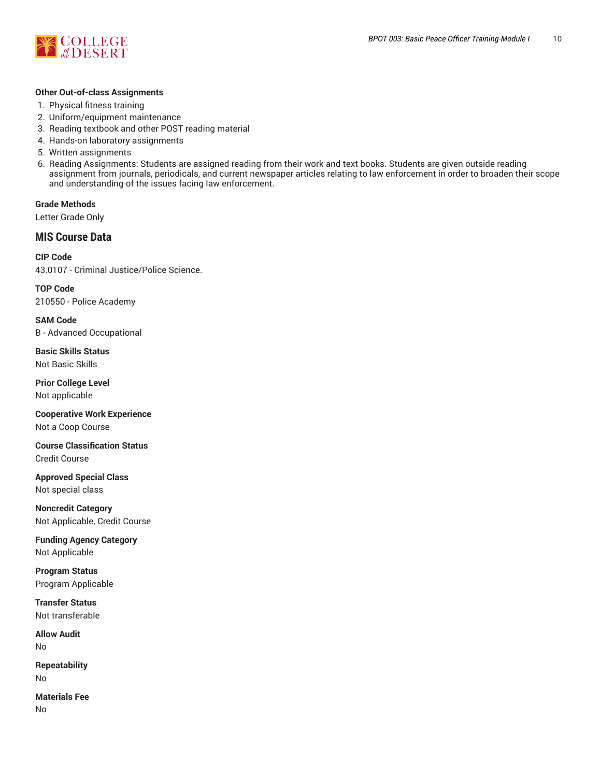

#### **Other Out-of-class Assignments**

- 1. Physical fitness training
- 2. Uniform/equipment maintenance
- 3. Reading textbook and other POST reading material
- 4. Hands-on laboratory assignments
- 5. Written assignments
- 6. Reading Assignments: Students are assigned reading from their work and text books. Students are given outside reading assignment from journals, periodicals, and current newspaper articles relating to law enforcement in order to broaden their scope and understanding of the issues facing law enforcement.

**Grade Methods** Letter Grade Only

# **MIS Course Data**

**CIP Code** 43.0107 - Criminal Justice/Police Science.

**TOP Code** 210550 - Police Academy

**SAM Code** B - Advanced Occupational

**Basic Skills Status** Not Basic Skills

**Prior College Level** Not applicable

**Cooperative Work Experience** Not a Coop Course

**Course Classification Status** Credit Course

**Approved Special Class** Not special class

**Noncredit Category** Not Applicable, Credit Course

**Funding Agency Category** Not Applicable

**Program Status** Program Applicable

**Transfer Status** Not transferable

**Allow Audit** No

**Repeatability** No

**Materials Fee** No